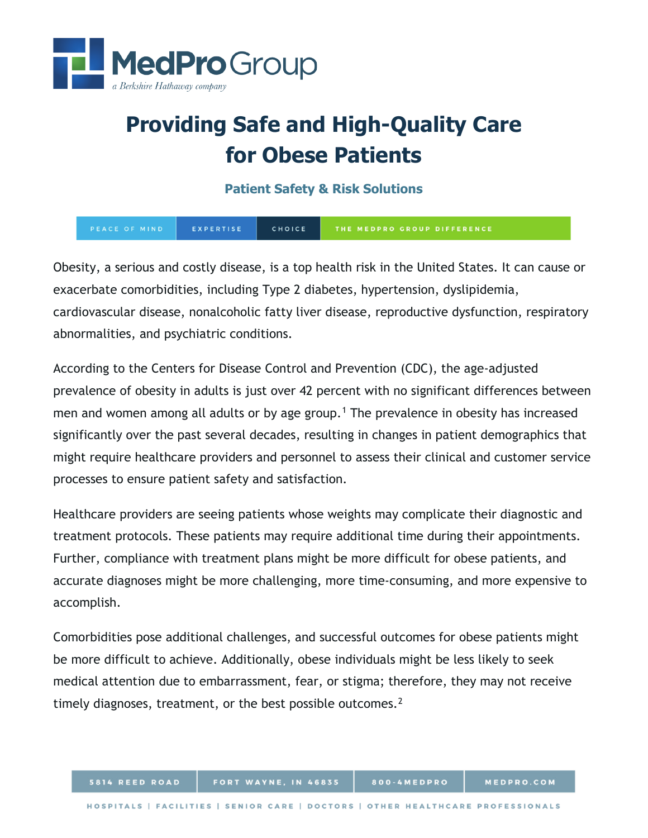

# **Providing Safe and High-Quality Care for Obese Patients**

**Patient Safety & Risk Solutions**

EXPERTISE CHOICE PEACE OF MIND THE MEDPRO GROUP DIFFERENCE

Obesity, a serious and costly disease, is a top health risk in the United States. It can cause or exacerbate comorbidities, including Type 2 diabetes, hypertension, dyslipidemia, cardiovascular disease, nonalcoholic fatty liver disease, reproductive dysfunction, respiratory abnormalities, and psychiatric conditions.

According to the Centers for Disease Control and Prevention (CDC), the age-adjusted prevalence of obesity in adults is just over 42 percent with no significant differences between men and women among all adults or by age group.<sup>[1](#page-4-0)</sup> The prevalence in obesity has increased significantly over the past several decades, resulting in changes in patient demographics that might require healthcare providers and personnel to assess their clinical and customer service processes to ensure patient safety and satisfaction.

Healthcare providers are seeing patients whose weights may complicate their diagnostic and treatment protocols. These patients may require additional time during their appointments. Further, compliance with treatment plans might be more difficult for obese patients, and accurate diagnoses might be more challenging, more time-consuming, and more expensive to accomplish.

Comorbidities pose additional challenges, and successful outcomes for obese patients might be more difficult to achieve. Additionally, obese individuals might be less likely to seek medical attention due to embarrassment, fear, or stigma; therefore, they may not receive timely diagnoses, treatment, or the best possible outcomes. $2$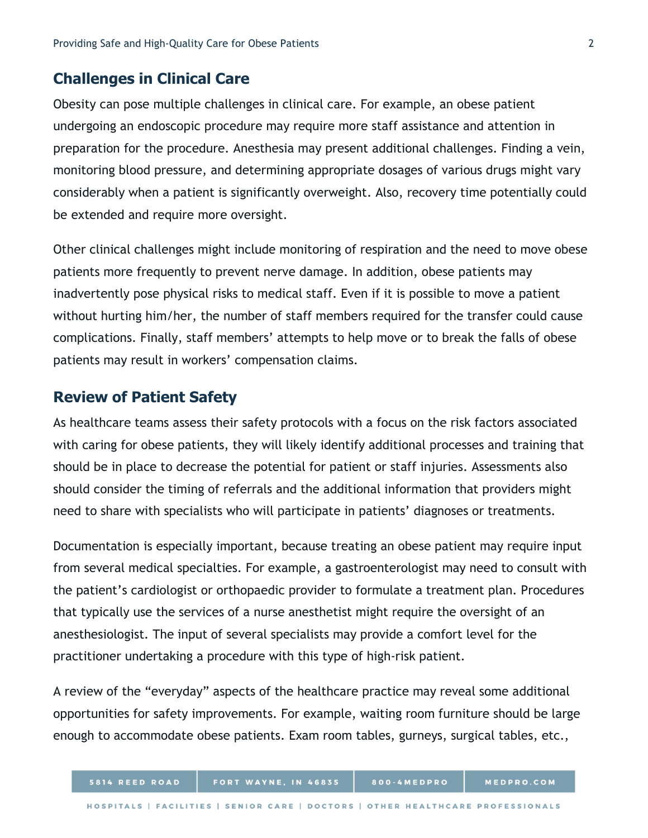## **Challenges in Clinical Care**

Obesity can pose multiple challenges in clinical care. For example, an obese patient undergoing an endoscopic procedure may require more staff assistance and attention in preparation for the procedure. Anesthesia may present additional challenges. Finding a vein, monitoring blood pressure, and determining appropriate dosages of various drugs might vary considerably when a patient is significantly overweight. Also, recovery time potentially could be extended and require more oversight.

Other clinical challenges might include monitoring of respiration and the need to move obese patients more frequently to prevent nerve damage. In addition, obese patients may inadvertently pose physical risks to medical staff. Even if it is possible to move a patient without hurting him/her, the number of staff members required for the transfer could cause complications. Finally, staff members' attempts to help move or to break the falls of obese patients may result in workers' compensation claims.

# **Review of Patient Safety**

As healthcare teams assess their safety protocols with a focus on the risk factors associated with caring for obese patients, they will likely identify additional processes and training that should be in place to decrease the potential for patient or staff injuries. Assessments also should consider the timing of referrals and the additional information that providers might need to share with specialists who will participate in patients' diagnoses or treatments.

Documentation is especially important, because treating an obese patient may require input from several medical specialties. For example, a gastroenterologist may need to consult with the patient's cardiologist or orthopaedic provider to formulate a treatment plan. Procedures that typically use the services of a nurse anesthetist might require the oversight of an anesthesiologist. The input of several specialists may provide a comfort level for the practitioner undertaking a procedure with this type of high-risk patient.

A review of the "everyday" aspects of the healthcare practice may reveal some additional opportunities for safety improvements. For example, waiting room furniture should be large enough to accommodate obese patients. Exam room tables, gurneys, surgical tables, etc.,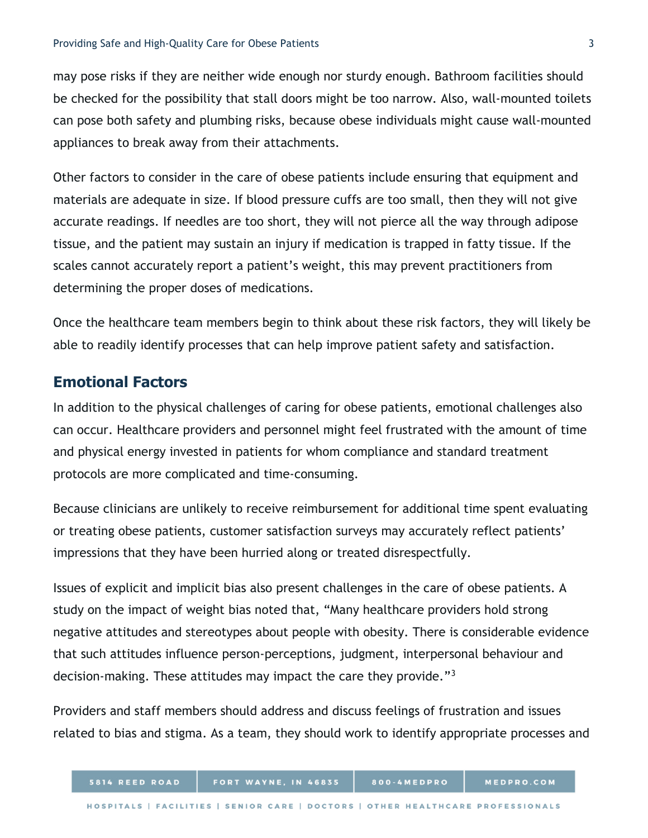may pose risks if they are neither wide enough nor sturdy enough. Bathroom facilities should be checked for the possibility that stall doors might be too narrow. Also, wall-mounted toilets can pose both safety and plumbing risks, because obese individuals might cause wall-mounted appliances to break away from their attachments.

Other factors to consider in the care of obese patients include ensuring that equipment and materials are adequate in size. If blood pressure cuffs are too small, then they will not give accurate readings. If needles are too short, they will not pierce all the way through adipose tissue, and the patient may sustain an injury if medication is trapped in fatty tissue. If the scales cannot accurately report a patient's weight, this may prevent practitioners from determining the proper doses of medications.

Once the healthcare team members begin to think about these risk factors, they will likely be able to readily identify processes that can help improve patient safety and satisfaction.

# **Emotional Factors**

In addition to the physical challenges of caring for obese patients, emotional challenges also can occur. Healthcare providers and personnel might feel frustrated with the amount of time and physical energy invested in patients for whom compliance and standard treatment protocols are more complicated and time-consuming.

Because clinicians are unlikely to receive reimbursement for additional time spent evaluating or treating obese patients, customer satisfaction surveys may accurately reflect patients' impressions that they have been hurried along or treated disrespectfully.

Issues of explicit and implicit bias also present challenges in the care of obese patients. A study on the impact of weight bias noted that, "Many healthcare providers hold strong negative attitudes and stereotypes about people with obesity. There is considerable evidence that such attitudes influence person-perceptions, judgment, interpersonal behaviour and decision-making. These attitudes may impact the care they provide."[3](#page-4-2)

Providers and staff members should address and discuss feelings of frustration and issues related to bias and stigma. As a team, they should work to identify appropriate processes and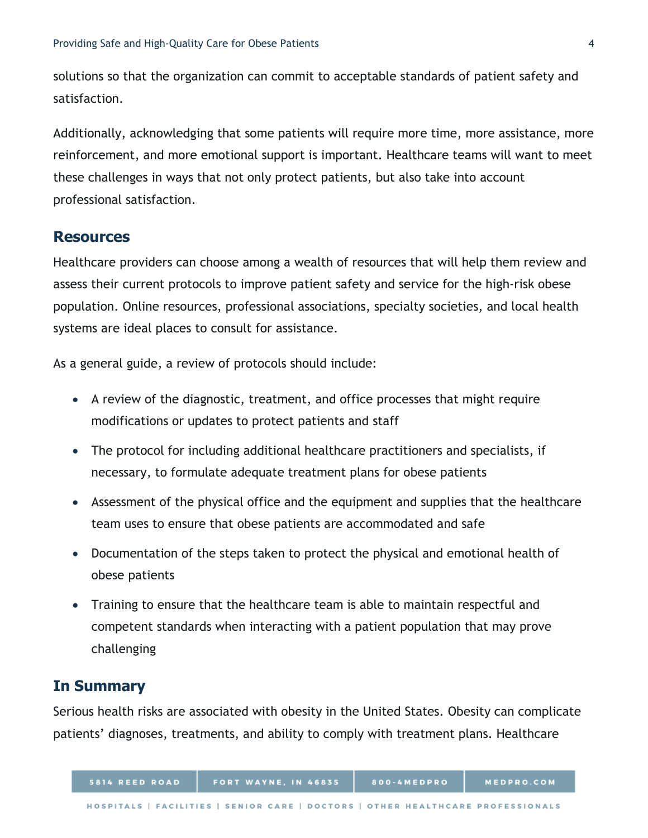solutions so that the organization can commit to acceptable standards of patient safety and satisfaction.

Additionally, acknowledging that some patients will require more time, more assistance, more reinforcement, and more emotional support is important. Healthcare teams will want to meet these challenges in ways that not only protect patients, but also take into account professional satisfaction.

#### **Resources**

Healthcare providers can choose among a wealth of resources that will help them review and assess their current protocols to improve patient safety and service for the high-risk obese population. Online resources, professional associations, specialty societies, and local health systems are ideal places to consult for assistance.

As a general guide, a review of protocols should include:

- A review of the diagnostic, treatment, and office processes that might require modifications or updates to protect patients and staff
- The protocol for including additional healthcare practitioners and specialists, if necessary, to formulate adequate treatment plans for obese patients
- Assessment of the physical office and the equipment and supplies that the healthcare team uses to ensure that obese patients are accommodated and safe
- Documentation of the steps taken to protect the physical and emotional health of obese patients
- Training to ensure that the healthcare team is able to maintain respectful and competent standards when interacting with a patient population that may prove challenging

### **In Summary**

Serious health risks are associated with obesity in the United States. Obesity can complicate patients' diagnoses, treatments, and ability to comply with treatment plans. Healthcare